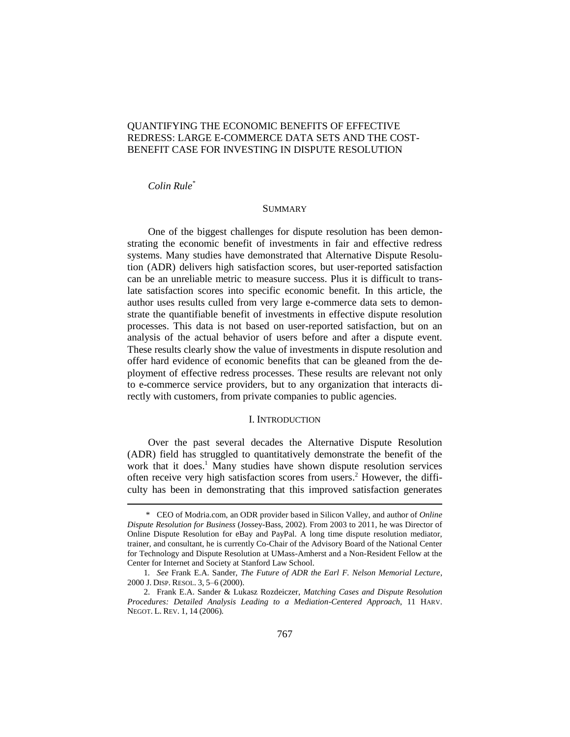# QUANTIFYING THE ECONOMIC BENEFITS OF EFFECTIVE REDRESS: LARGE E-COMMERCE DATA SETS AND THE COST-BENEFIT CASE FOR INVESTING IN DISPUTE RESOLUTION

## *Colin Rule\**

### **SUMMARY**

One of the biggest challenges for dispute resolution has been demonstrating the economic benefit of investments in fair and effective redress systems. Many studies have demonstrated that Alternative Dispute Resolution (ADR) delivers high satisfaction scores, but user-reported satisfaction can be an unreliable metric to measure success. Plus it is difficult to translate satisfaction scores into specific economic benefit. In this article, the author uses results culled from very large e-commerce data sets to demonstrate the quantifiable benefit of investments in effective dispute resolution processes. This data is not based on user-reported satisfaction, but on an analysis of the actual behavior of users before and after a dispute event. These results clearly show the value of investments in dispute resolution and offer hard evidence of economic benefits that can be gleaned from the deployment of effective redress processes. These results are relevant not only to e-commerce service providers, but to any organization that interacts directly with customers, from private companies to public agencies.

#### I. INTRODUCTION

Over the past several decades the Alternative Dispute Resolution (ADR) field has struggled to quantitatively demonstrate the benefit of the work that it does.<sup>1</sup> Many studies have shown dispute resolution services often receive very high satisfaction scores from users. <sup>2</sup> However, the difficulty has been in demonstrating that this improved satisfaction generates

<sup>\*</sup> CEO of Modria.com, an ODR provider based in Silicon Valley, and author of *Online Dispute Resolution for Business* (Jossey-Bass, 2002). From 2003 to 2011, he was Director of Online Dispute Resolution for eBay and PayPal. A long time dispute resolution mediator, trainer, and consultant, he is currently Co-Chair of the Advisory Board of the National Center for Technology and Dispute Resolution at UMass-Amherst and a Non-Resident Fellow at the Center for Internet and Society at Stanford Law School.

<sup>1</sup>*. See* Frank E.A. Sander, *The Future of ADR the Earl F. Nelson Memorial Lecture*, 2000 J. DISP. RESOL. 3, 5–6 (2000).

<sup>2.</sup> Frank E.A. Sander & Lukasz Rozdeiczer, *Matching Cases and Dispute Resolution Procedures: Detailed Analysis Leading to a Mediation-Centered Approach*, 11 HARV. NEGOT. L. REV. 1, 14 (2006).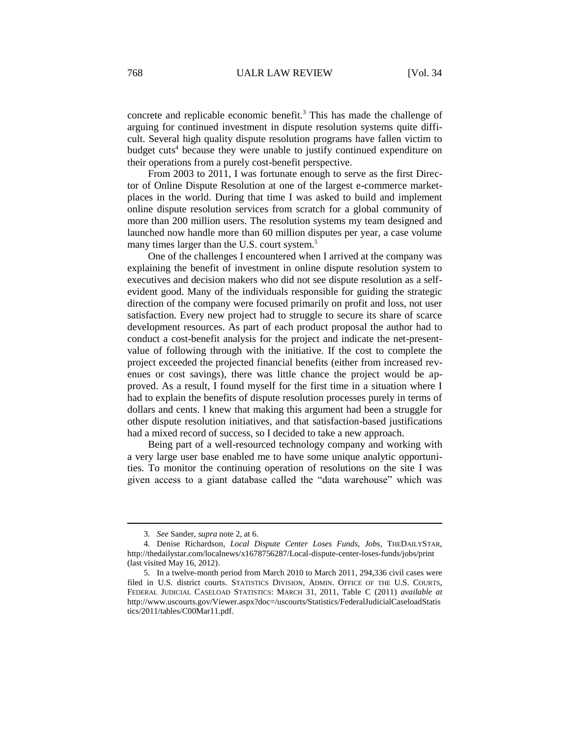concrete and replicable economic benefit.<sup>3</sup> This has made the challenge of arguing for continued investment in dispute resolution systems quite difficult. Several high quality dispute resolution programs have fallen victim to budget cuts<sup>4</sup> because they were unable to justify continued expenditure on their operations from a purely cost-benefit perspective.

From 2003 to 2011, I was fortunate enough to serve as the first Director of Online Dispute Resolution at one of the largest e-commerce marketplaces in the world. During that time I was asked to build and implement online dispute resolution services from scratch for a global community of more than 200 million users. The resolution systems my team designed and launched now handle more than 60 million disputes per year, a case volume many times larger than the U.S. court system.<sup>5</sup>

One of the challenges I encountered when I arrived at the company was explaining the benefit of investment in online dispute resolution system to executives and decision makers who did not see dispute resolution as a selfevident good. Many of the individuals responsible for guiding the strategic direction of the company were focused primarily on profit and loss, not user satisfaction. Every new project had to struggle to secure its share of scarce development resources. As part of each product proposal the author had to conduct a cost-benefit analysis for the project and indicate the net-presentvalue of following through with the initiative. If the cost to complete the project exceeded the projected financial benefits (either from increased revenues or cost savings), there was little chance the project would be approved. As a result, I found myself for the first time in a situation where I had to explain the benefits of dispute resolution processes purely in terms of dollars and cents. I knew that making this argument had been a struggle for other dispute resolution initiatives, and that satisfaction-based justifications had a mixed record of success, so I decided to take a new approach.

Being part of a well-resourced technology company and working with a very large user base enabled me to have some unique analytic opportunities. To monitor the continuing operation of resolutions on the site I was given access to a giant database called the "data warehouse" which was

<sup>3</sup>*. See* Sander, *supra* note 2, at 6.

<sup>4.</sup> Denise Richardson, *Local Dispute Center Loses Funds, Jobs*, THEDAILYSTAR, http://thedailystar.com/localnews/x1678756287/Local-dispute-center-loses-funds/jobs/print (last visited May 16, 2012).

<sup>5.</sup> In a twelve-month period from March 2010 to March 2011, 294,336 civil cases were filed in U.S. district courts. STATISTICS DIVISION, ADMIN. OFFICE OF THE U.S. COURTS, FEDERAL JUDICIAL CASELOAD STATISTICS: MARCH 31, 2011, Table C (2011) *available at*  http://www.uscourts.gov/Viewer.aspx?doc=/uscourts/Statistics/FederalJudicialCaseloadStatis tics/2011/tables/C00Mar11.pdf.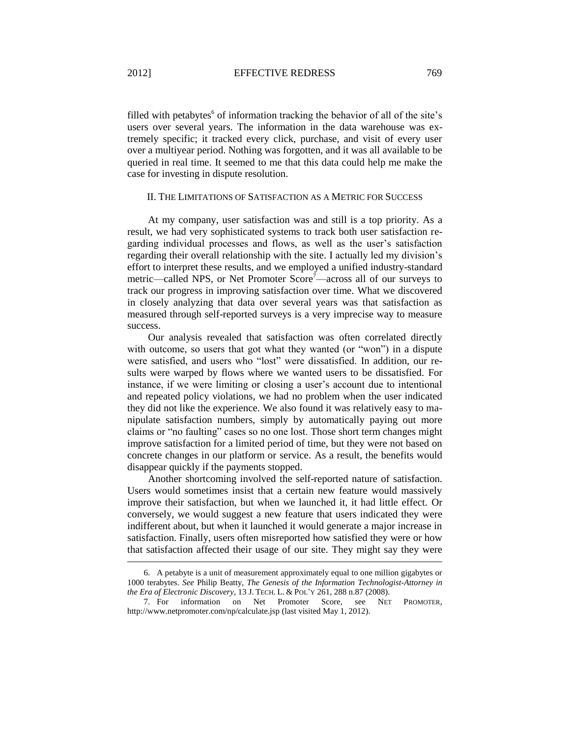filled with petabytes<sup>6</sup> of information tracking the behavior of all of the site's users over several years. The information in the data warehouse was extremely specific; it tracked every click, purchase, and visit of every user over a multiyear period. Nothing was forgotten, and it was all available to be queried in real time. It seemed to me that this data could help me make the case for investing in dispute resolution.

### II. THE LIMITATIONS OF SATISFACTION AS A METRIC FOR SUCCESS

At my company, user satisfaction was and still is a top priority. As a result, we had very sophisticated systems to track both user satisfaction regarding individual processes and flows, as well as the user's satisfaction regarding their overall relationship with the site. I actually led my division's effort to interpret these results, and we employed a unified industry-standard metric—called NPS, or Net Promoter Score<sup>7</sup>—across all of our surveys to track our progress in improving satisfaction over time. What we discovered in closely analyzing that data over several years was that satisfaction as measured through self-reported surveys is a very imprecise way to measure success.

Our analysis revealed that satisfaction was often correlated directly with outcome, so users that got what they wanted (or "won") in a dispute were satisfied, and users who "lost" were dissatisfied. In addition, our results were warped by flows where we wanted users to be dissatisfied. For instance, if we were limiting or closing a user's account due to intentional and repeated policy violations, we had no problem when the user indicated they did not like the experience. We also found it was relatively easy to manipulate satisfaction numbers, simply by automatically paying out more claims or "no faulting" cases so no one lost. Those short term changes might improve satisfaction for a limited period of time, but they were not based on concrete changes in our platform or service. As a result, the benefits would disappear quickly if the payments stopped.

Another shortcoming involved the self-reported nature of satisfaction. Users would sometimes insist that a certain new feature would massively improve their satisfaction, but when we launched it, it had little effect. Or conversely, we would suggest a new feature that users indicated they were indifferent about, but when it launched it would generate a major increase in satisfaction. Finally, users often misreported how satisfied they were or how that satisfaction affected their usage of our site. They might say they were

<sup>6.</sup> A petabyte is a unit of measurement approximately equal to one million gigabytes or 1000 terabytes. *See* Philip Beatty, *The Genesis of the Information Technologist-Attorney in the Era of Electronic Discovery*, 13 J. TECH. L. & POL'Y 261, 288 n.87 (2008).

<sup>7.</sup> For information on Net Promoter Score, see NET PROMOTER, http://www.netpromoter.com/np/calculate.jsp (last visited May 1, 2012).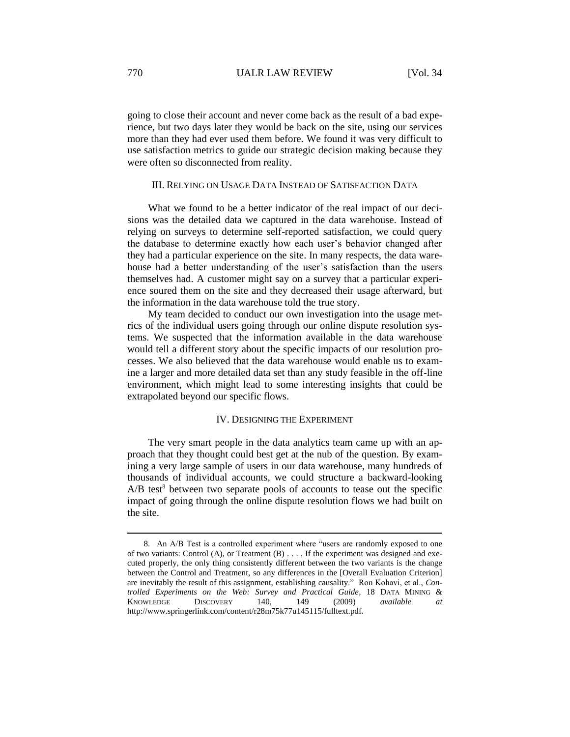going to close their account and never come back as the result of a bad experience, but two days later they would be back on the site, using our services more than they had ever used them before. We found it was very difficult to use satisfaction metrics to guide our strategic decision making because they were often so disconnected from reality.

## III. RELYING ON USAGE DATA INSTEAD OF SATISFACTION DATA

What we found to be a better indicator of the real impact of our decisions was the detailed data we captured in the data warehouse. Instead of relying on surveys to determine self-reported satisfaction, we could query the database to determine exactly how each user's behavior changed after they had a particular experience on the site. In many respects, the data warehouse had a better understanding of the user's satisfaction than the users themselves had. A customer might say on a survey that a particular experience soured them on the site and they decreased their usage afterward, but the information in the data warehouse told the true story.

My team decided to conduct our own investigation into the usage metrics of the individual users going through our online dispute resolution systems. We suspected that the information available in the data warehouse would tell a different story about the specific impacts of our resolution processes. We also believed that the data warehouse would enable us to examine a larger and more detailed data set than any study feasible in the off-line environment, which might lead to some interesting insights that could be extrapolated beyond our specific flows.

# IV. DESIGNING THE EXPERIMENT

The very smart people in the data analytics team came up with an approach that they thought could best get at the nub of the question. By examining a very large sample of users in our data warehouse, many hundreds of thousands of individual accounts, we could structure a backward-looking  $A/B$  test<sup>8</sup> between two separate pools of accounts to tease out the specific impact of going through the online dispute resolution flows we had built on the site.

<sup>8.</sup> An A/B Test is a controlled experiment where "users are randomly exposed to one of two variants: Control (A), or Treatment (B) . . . . If the experiment was designed and executed properly, the only thing consistently different between the two variants is the change between the Control and Treatment, so any differences in the [Overall Evaluation Criterion] are inevitably the result of this assignment, establishing causality." Ron Kohavi, et al., *Controlled Experiments on the Web: Survey and Practical Guide*, 18 DATA MINING & KNOWLEDGE DISCOVERY 140, 149 (2009) *available at* http://www.springerlink.com/content/r28m75k77u145115/fulltext.pdf.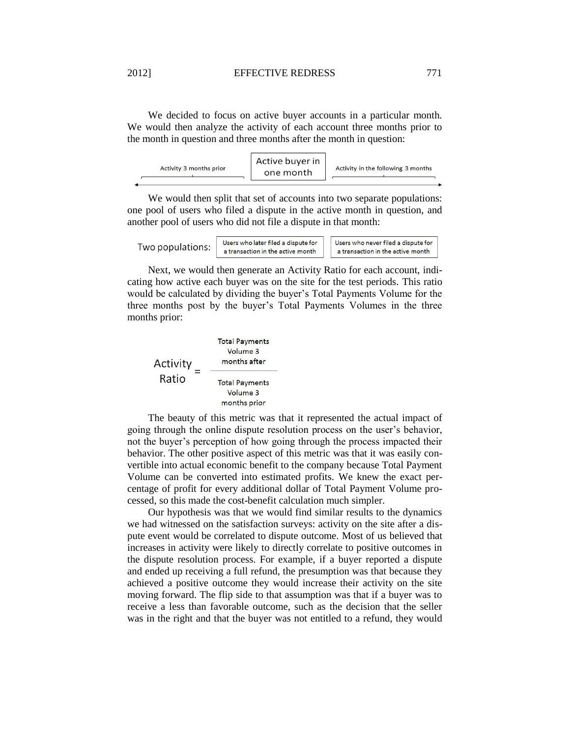### 2012] EFFECTIVE REDRESS 771

We decided to focus on active buyer accounts in a particular month. We would then analyze the activity of each account three months prior to the month in question and three months after the month in question:

| Activity 3 months prior | one month | Activity in the following 3 months |
|-------------------------|-----------|------------------------------------|
|                         |           |                                    |

We would then split that set of accounts into two separate populations: one pool of users who filed a dispute in the active month in question, and another pool of users who did not file a dispute in that month:

Two populations:

Users who later filed a dispute for a transaction in the active month Users who never filed a dispute for a transaction in the active month

Next, we would then generate an Activity Ratio for each account, indicating how active each buyer was on the site for the test periods. This ratio would be calculated by dividing the buyer's Total Payments Volume for the three months post by the buyer's Total Payments Volumes in the three months prior:

**Total Payments** Volume 3 Activity  $=$ months after Ratio **Total Payments** Volume 3 months prior

The beauty of this metric was that it represented the actual impact of going through the online dispute resolution process on the user's behavior, not the buyer's perception of how going through the process impacted their behavior. The other positive aspect of this metric was that it was easily convertible into actual economic benefit to the company because Total Payment Volume can be converted into estimated profits. We knew the exact percentage of profit for every additional dollar of Total Payment Volume processed, so this made the cost-benefit calculation much simpler.

Our hypothesis was that we would find similar results to the dynamics we had witnessed on the satisfaction surveys: activity on the site after a dispute event would be correlated to dispute outcome. Most of us believed that increases in activity were likely to directly correlate to positive outcomes in the dispute resolution process. For example, if a buyer reported a dispute and ended up receiving a full refund, the presumption was that because they achieved a positive outcome they would increase their activity on the site moving forward. The flip side to that assumption was that if a buyer was to receive a less than favorable outcome, such as the decision that the seller was in the right and that the buyer was not entitled to a refund, they would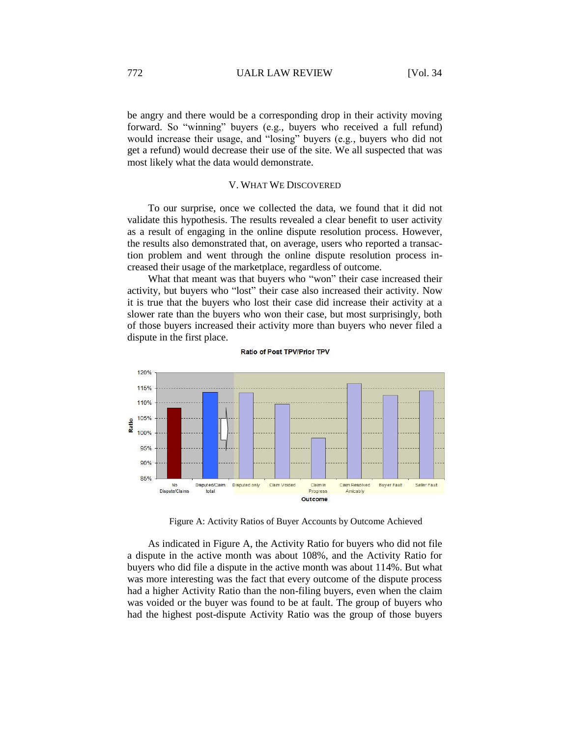be angry and there would be a corresponding drop in their activity moving forward. So "winning" buyers (e.g., buyers who received a full refund) would increase their usage, and "losing" buyers (e.g., buyers who did not get a refund) would decrease their use of the site. We all suspected that was most likely what the data would demonstrate.

### V. WHAT WE DISCOVERED

To our surprise, once we collected the data, we found that it did not validate this hypothesis. The results revealed a clear benefit to user activity as a result of engaging in the online dispute resolution process. However, the results also demonstrated that, on average, users who reported a transaction problem and went through the online dispute resolution process increased their usage of the marketplace, regardless of outcome.

What that meant was that buyers who "won" their case increased their activity, but buyers who "lost" their case also increased their activity. Now it is true that the buyers who lost their case did increase their activity at a slower rate than the buyers who won their case, but most surprisingly, both of those buyers increased their activity more than buyers who never filed a dispute in the first place.



Ratio of Post TPV/Prior TPV

Figure A: Activity Ratios of Buyer Accounts by Outcome Achieved

As indicated in Figure A, the Activity Ratio for buyers who did not file a dispute in the active month was about 108%, and the Activity Ratio for buyers who did file a dispute in the active month was about 114%. But what was more interesting was the fact that every outcome of the dispute process had a higher Activity Ratio than the non-filing buyers, even when the claim was voided or the buyer was found to be at fault. The group of buyers who had the highest post-dispute Activity Ratio was the group of those buyers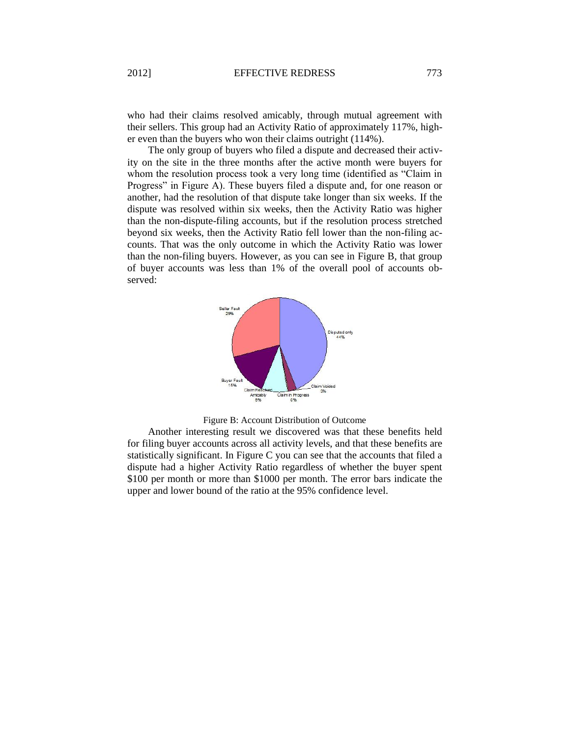who had their claims resolved amicably, through mutual agreement with their sellers. This group had an Activity Ratio of approximately 117%, higher even than the buyers who won their claims outright (114%).

The only group of buyers who filed a dispute and decreased their activity on the site in the three months after the active month were buyers for whom the resolution process took a very long time (identified as "Claim in Progress" in Figure A). These buyers filed a dispute and, for one reason or another, had the resolution of that dispute take longer than six weeks. If the dispute was resolved within six weeks, then the Activity Ratio was higher than the non-dispute-filing accounts, but if the resolution process stretched beyond six weeks, then the Activity Ratio fell lower than the non-filing accounts. That was the only outcome in which the Activity Ratio was lower than the non-filing buyers. However, as you can see in Figure B, that group of buyer accounts was less than 1% of the overall pool of accounts observed:





Another interesting result we discovered was that these benefits held for filing buyer accounts across all activity levels, and that these benefits are statistically significant. In Figure C you can see that the accounts that filed a dispute had a higher Activity Ratio regardless of whether the buyer spent \$100 per month or more than \$1000 per month. The error bars indicate the upper and lower bound of the ratio at the 95% confidence level.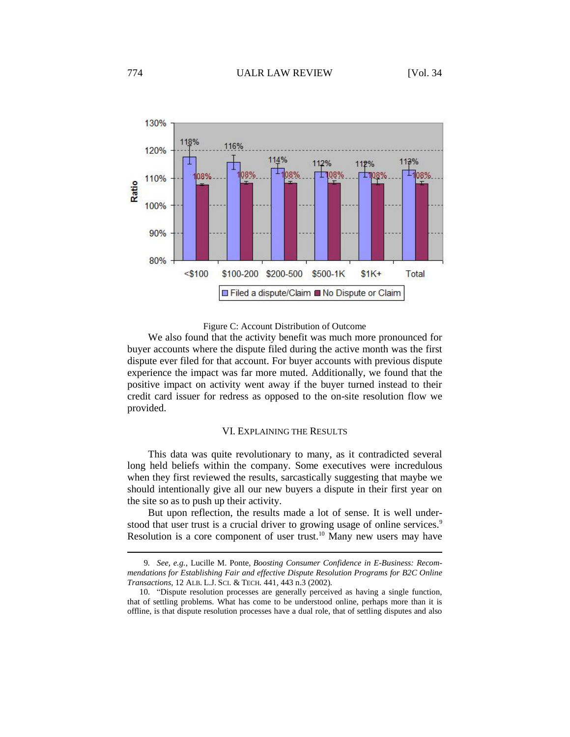

#### Figure C: Account Distribution of Outcome

We also found that the activity benefit was much more pronounced for buyer accounts where the dispute filed during the active month was the first dispute ever filed for that account. For buyer accounts with previous dispute experience the impact was far more muted. Additionally, we found that the positive impact on activity went away if the buyer turned instead to their credit card issuer for redress as opposed to the on-site resolution flow we provided.

### VI. EXPLAINING THE RESULTS

This data was quite revolutionary to many, as it contradicted several long held beliefs within the company. Some executives were incredulous when they first reviewed the results, sarcastically suggesting that maybe we should intentionally give all our new buyers a dispute in their first year on the site so as to push up their activity.

But upon reflection, the results made a lot of sense. It is well understood that user trust is a crucial driver to growing usage of online services.<sup>9</sup> Resolution is a core component of user trust.<sup>10</sup> Many new users may have

<sup>9</sup>*. See, e.g.*, Lucille M. Ponte, *Boosting Consumer Confidence in E-Business: Recommendations for Establishing Fair and effective Dispute Resolution Programs for B2C Online Transactions*, 12 ALB. L.J. SCI. & TECH*.* 441, 443 n.3 (2002).

<sup>10.</sup> "Dispute resolution processes are generally perceived as having a single function, that of settling problems. What has come to be understood online, perhaps more than it is offline, is that dispute resolution processes have a dual role, that of settling disputes and also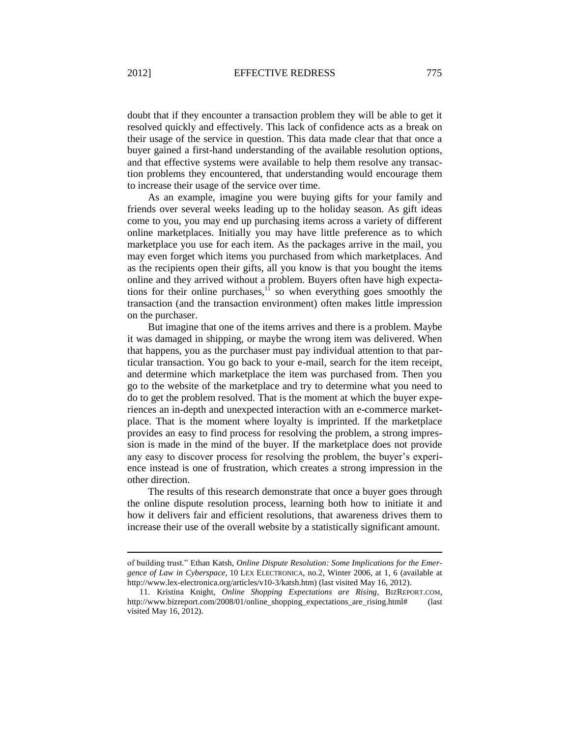doubt that if they encounter a transaction problem they will be able to get it resolved quickly and effectively. This lack of confidence acts as a break on their usage of the service in question. This data made clear that that once a buyer gained a first-hand understanding of the available resolution options, and that effective systems were available to help them resolve any transaction problems they encountered, that understanding would encourage them to increase their usage of the service over time.

As an example, imagine you were buying gifts for your family and friends over several weeks leading up to the holiday season. As gift ideas come to you, you may end up purchasing items across a variety of different online marketplaces. Initially you may have little preference as to which marketplace you use for each item. As the packages arrive in the mail, you may even forget which items you purchased from which marketplaces. And as the recipients open their gifts, all you know is that you bought the items online and they arrived without a problem. Buyers often have high expectations for their online purchases, $1\overline{1}$  so when everything goes smoothly the transaction (and the transaction environment) often makes little impression on the purchaser.

But imagine that one of the items arrives and there is a problem. Maybe it was damaged in shipping, or maybe the wrong item was delivered. When that happens, you as the purchaser must pay individual attention to that particular transaction. You go back to your e-mail, search for the item receipt, and determine which marketplace the item was purchased from. Then you go to the website of the marketplace and try to determine what you need to do to get the problem resolved. That is the moment at which the buyer experiences an in-depth and unexpected interaction with an e-commerce marketplace. That is the moment where loyalty is imprinted. If the marketplace provides an easy to find process for resolving the problem, a strong impression is made in the mind of the buyer. If the marketplace does not provide any easy to discover process for resolving the problem, the buyer's experience instead is one of frustration, which creates a strong impression in the other direction.

The results of this research demonstrate that once a buyer goes through the online dispute resolution process, learning both how to initiate it and how it delivers fair and efficient resolutions, that awareness drives them to increase their use of the overall website by a statistically significant amount.

of building trust." Ethan Katsh, *Online Dispute Resolution: Some Implications for the Emergence of Law in Cyberspace*, 10 LEX ELECTRONICA, no.2, Winter 2006, at 1, 6 (available at http://www.lex-electronica.org/articles/v10-3/katsh.htm) (last visited May 16, 2012).

<sup>11.</sup> Kristina Knight, *Online Shopping Expectations are Rising*, BIZREPORT.COM, http://www.bizreport.com/2008/01/online\_shopping\_expectations\_are\_rising.html# (last visited May 16, 2012).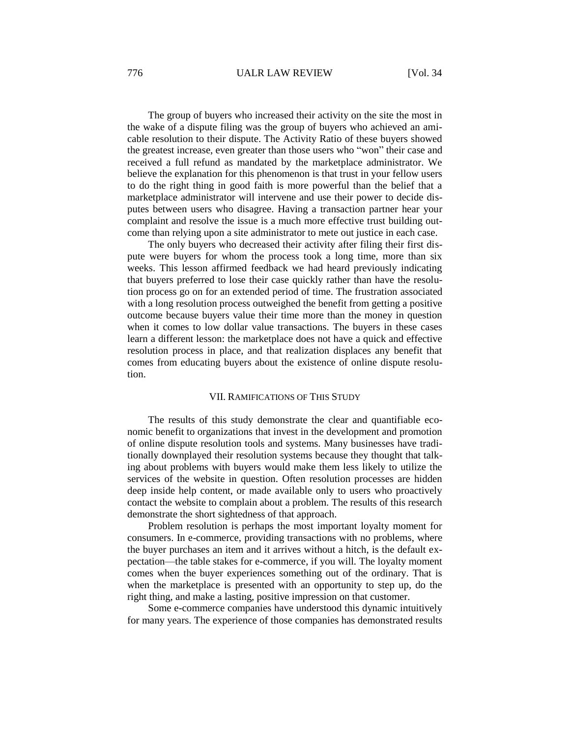## 776 UALR LAW REVIEW [Vol. 34

The group of buyers who increased their activity on the site the most in the wake of a dispute filing was the group of buyers who achieved an amicable resolution to their dispute. The Activity Ratio of these buyers showed the greatest increase, even greater than those users who "won" their case and received a full refund as mandated by the marketplace administrator. We believe the explanation for this phenomenon is that trust in your fellow users to do the right thing in good faith is more powerful than the belief that a marketplace administrator will intervene and use their power to decide disputes between users who disagree. Having a transaction partner hear your complaint and resolve the issue is a much more effective trust building outcome than relying upon a site administrator to mete out justice in each case.

The only buyers who decreased their activity after filing their first dispute were buyers for whom the process took a long time, more than six weeks. This lesson affirmed feedback we had heard previously indicating that buyers preferred to lose their case quickly rather than have the resolution process go on for an extended period of time. The frustration associated with a long resolution process outweighed the benefit from getting a positive outcome because buyers value their time more than the money in question when it comes to low dollar value transactions. The buyers in these cases learn a different lesson: the marketplace does not have a quick and effective resolution process in place, and that realization displaces any benefit that comes from educating buyers about the existence of online dispute resolution.

#### VII. RAMIFICATIONS OF THIS STUDY

The results of this study demonstrate the clear and quantifiable economic benefit to organizations that invest in the development and promotion of online dispute resolution tools and systems. Many businesses have traditionally downplayed their resolution systems because they thought that talking about problems with buyers would make them less likely to utilize the services of the website in question. Often resolution processes are hidden deep inside help content, or made available only to users who proactively contact the website to complain about a problem. The results of this research demonstrate the short sightedness of that approach.

Problem resolution is perhaps the most important loyalty moment for consumers. In e-commerce, providing transactions with no problems, where the buyer purchases an item and it arrives without a hitch, is the default expectation—the table stakes for e-commerce, if you will. The loyalty moment comes when the buyer experiences something out of the ordinary. That is when the marketplace is presented with an opportunity to step up, do the right thing, and make a lasting, positive impression on that customer.

Some e-commerce companies have understood this dynamic intuitively for many years. The experience of those companies has demonstrated results